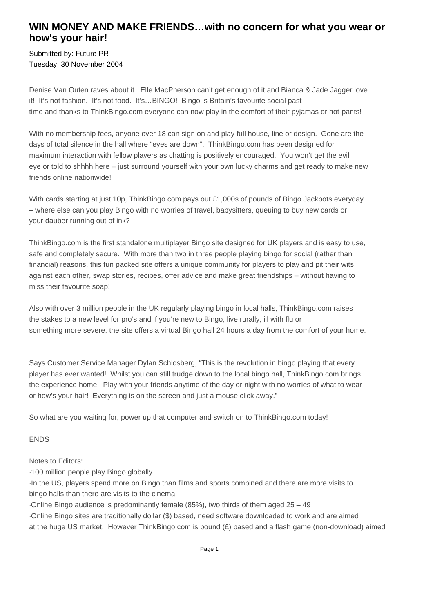## **WIN MONEY AND MAKE FRIENDS…with no concern for what you wear or how's your hair!**

Submitted by: Future PR Tuesday, 30 November 2004

Denise Van Outen raves about it. Elle MacPherson can't get enough of it and Bianca & Jade Jagger love it! It's not fashion. It's not food. It's…BINGO! Bingo is Britain's favourite social past time and thanks to ThinkBingo.com everyone can now play in the comfort of their pyjamas or hot-pants!

With no membership fees, anyone over 18 can sign on and play full house, line or design. Gone are the days of total silence in the hall where "eyes are down". ThinkBingo.com has been designed for maximum interaction with fellow players as chatting is positively encouraged. You won't get the evil eye or told to shhhh here – just surround yourself with your own lucky charms and get ready to make new friends online nationwide!

With cards starting at just 10p, ThinkBingo.com pays out £1,000s of pounds of Bingo Jackpots everyday – where else can you play Bingo with no worries of travel, babysitters, queuing to buy new cards or your dauber running out of ink?

ThinkBingo.com is the first standalone multiplayer Bingo site designed for UK players and is easy to use, safe and completely secure. With more than two in three people playing bingo for social (rather than financial) reasons, this fun packed site offers a unique community for players to play and pit their wits against each other, swap stories, recipes, offer advice and make great friendships – without having to miss their favourite soap!

Also with over 3 million people in the UK regularly playing bingo in local halls, ThinkBingo.com raises the stakes to a new level for pro's and if you're new to Bingo, live rurally, ill with flu or something more severe, the site offers a virtual Bingo hall 24 hours a day from the comfort of your home.

Says Customer Service Manager Dylan Schlosberg, "This is the revolution in bingo playing that every player has ever wanted! Whilst you can still trudge down to the local bingo hall, ThinkBingo.com brings the experience home. Play with your friends anytime of the day or night with no worries of what to wear or how's your hair! Everything is on the screen and just a mouse click away."

So what are you waiting for, power up that computer and switch on to ThinkBingo.com today!

## ENDS

Notes to Editors:

· 100 million people play Bingo globally

· In the US, players spend more on Bingo than films and sports combined and there are more visits to bingo halls than there are visits to the cinema!

 $\cdot$  Online Bingo audience is predominantly female (85%), two thirds of them aged 25 – 49

· Online Bingo sites are traditionally dollar (\$) based, need software downloaded to work and are aimed at the huge US market. However ThinkBingo.com is pound (£) based and a flash game (non-download) aimed